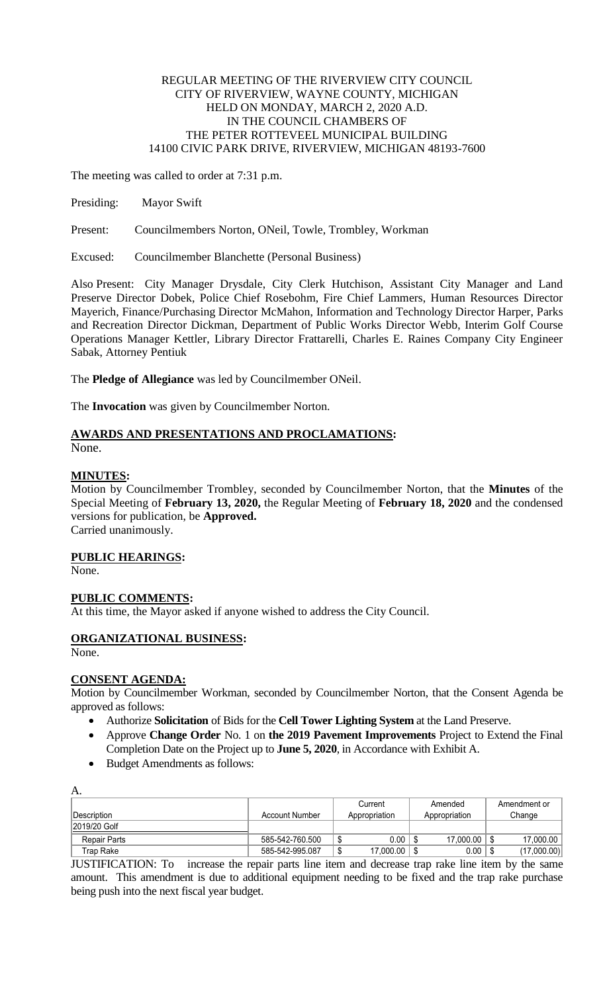#### REGULAR MEETING OF THE RIVERVIEW CITY COUNCIL CITY OF RIVERVIEW, WAYNE COUNTY, MICHIGAN HELD ON MONDAY, MARCH 2, 2020 A.D. IN THE COUNCIL CHAMBERS OF THE PETER ROTTEVEEL MUNICIPAL BUILDING 14100 CIVIC PARK DRIVE, RIVERVIEW, MICHIGAN 48193-7600

The meeting was called to order at 7:31 p.m.

Presiding: Mayor Swift

Present: Councilmembers Norton, ONeil, Towle, Trombley, Workman

Excused: Councilmember Blanchette (Personal Business)

Also Present: City Manager Drysdale, City Clerk Hutchison, Assistant City Manager and Land Preserve Director Dobek, Police Chief Rosebohm, Fire Chief Lammers, Human Resources Director Mayerich, Finance/Purchasing Director McMahon, Information and Technology Director Harper, Parks and Recreation Director Dickman, Department of Public Works Director Webb, Interim Golf Course Operations Manager Kettler, Library Director Frattarelli, Charles E. Raines Company City Engineer Sabak, Attorney Pentiuk

The **Pledge of Allegiance** was led by Councilmember ONeil.

The **Invocation** was given by Councilmember Norton.

#### **AWARDS AND PRESENTATIONS AND PROCLAMATIONS:** None.

# **MINUTES:**

Motion by Councilmember Trombley, seconded by Councilmember Norton, that the **Minutes** of the Special Meeting of **February 13, 2020,** the Regular Meeting of **February 18, 2020** and the condensed versions for publication, be **Approved.** Carried unanimously.

#### **PUBLIC HEARINGS:**

None.

# **PUBLIC COMMENTS:**

At this time, the Mayor asked if anyone wished to address the City Council.

# **ORGANIZATIONAL BUSINESS:**

None.

A.

# **CONSENT AGENDA:**

Motion by Councilmember Workman, seconded by Councilmember Norton, that the Consent Agenda be approved as follows:

- Authorize **Solicitation** of Bids for the **Cell Tower Lighting System** at the Land Preserve.
- Approve **Change Order** No. 1 on **the 2019 Pavement Improvements** Project to Extend the Final Completion Date on the Project up to **June 5, 2020**, in Accordance with Exhibit A.
- Budget Amendments as follows:

| .            |                 |                |                  |              |  |  |
|--------------|-----------------|----------------|------------------|--------------|--|--|
|              |                 | Current        | Amended          | Amendment or |  |  |
| Description  | Account Number  | Appropriation  | Appropriation    | Change       |  |  |
| 2019/20 Golf |                 |                |                  |              |  |  |
| Repair Parts | 585-542-760.500 | 0.00<br>۰W     | 17.000.00        | 17.000.00    |  |  |
| Trap Rake    | 585-542-995.087 | 17.000.00<br>ึ | $0.00\,$<br>- \$ | (17,000.00)  |  |  |
|              |                 |                |                  |              |  |  |

JUSTIFICATION: To increase the repair parts line item and decrease trap rake line item by the same amount. This amendment is due to additional equipment needing to be fixed and the trap rake purchase being push into the next fiscal year budget.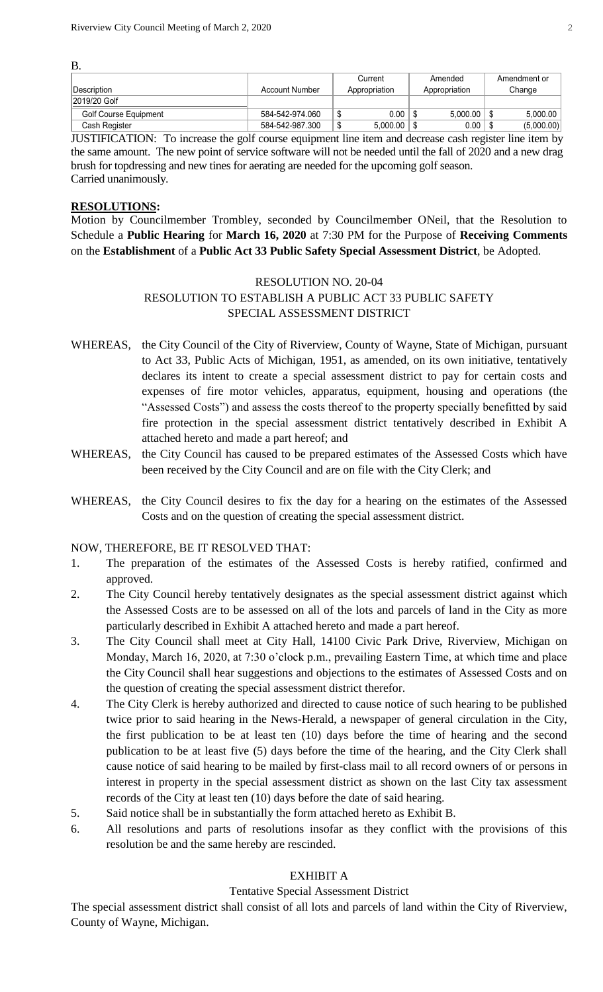B.

|                              |                 | Current          | Amended       | Amendment or |
|------------------------------|-----------------|------------------|---------------|--------------|
| <b>Description</b>           | Account Number  | Appropriation    | Appropriation | Change       |
| 2019/20 Golf                 |                 |                  |               |              |
| <b>Golf Course Equipment</b> | 584-542-974.060 | 0.00             | 5.000.00      | 5.000.00     |
| Cash Register                | 584-542-987.300 | 5.000.00<br>- 13 | 0.00          | (5,000.00)   |

JUSTIFICATION: To increase the golf course equipment line item and decrease cash register line item by the same amount. The new point of service software will not be needed until the fall of 2020 and a new drag brush for topdressing and new tines for aerating are needed for the upcoming golf season. Carried unanimously.

# **RESOLUTIONS:**

Motion by Councilmember Trombley, seconded by Councilmember ONeil, that the Resolution to Schedule a **Public Hearing** for **March 16, 2020** at 7:30 PM for the Purpose of **Receiving Comments** on the **Establishment** of a **Public Act 33 Public Safety Special Assessment District**, be Adopted.

# RESOLUTION NO. 20-04 RESOLUTION TO ESTABLISH A PUBLIC ACT 33 PUBLIC SAFETY SPECIAL ASSESSMENT DISTRICT

- WHEREAS, the City Council of the City of Riverview, County of Wayne, State of Michigan, pursuant to Act 33, Public Acts of Michigan, 1951, as amended, on its own initiative, tentatively declares its intent to create a special assessment district to pay for certain costs and expenses of fire motor vehicles, apparatus, equipment, housing and operations (the "Assessed Costs") and assess the costs thereof to the property specially benefitted by said fire protection in the special assessment district tentatively described in Exhibit A attached hereto and made a part hereof; and
- WHEREAS, the City Council has caused to be prepared estimates of the Assessed Costs which have been received by the City Council and are on file with the City Clerk; and
- WHEREAS, the City Council desires to fix the day for a hearing on the estimates of the Assessed Costs and on the question of creating the special assessment district.

# NOW, THEREFORE, BE IT RESOLVED THAT:

- 1. The preparation of the estimates of the Assessed Costs is hereby ratified, confirmed and approved.
- 2. The City Council hereby tentatively designates as the special assessment district against which the Assessed Costs are to be assessed on all of the lots and parcels of land in the City as more particularly described in Exhibit A attached hereto and made a part hereof.
- 3. The City Council shall meet at City Hall, 14100 Civic Park Drive, Riverview, Michigan on Monday, March 16, 2020, at 7:30 o'clock p.m., prevailing Eastern Time, at which time and place the City Council shall hear suggestions and objections to the estimates of Assessed Costs and on the question of creating the special assessment district therefor.
- 4. The City Clerk is hereby authorized and directed to cause notice of such hearing to be published twice prior to said hearing in the News-Herald, a newspaper of general circulation in the City, the first publication to be at least ten (10) days before the time of hearing and the second publication to be at least five (5) days before the time of the hearing, and the City Clerk shall cause notice of said hearing to be mailed by first-class mail to all record owners of or persons in interest in property in the special assessment district as shown on the last City tax assessment records of the City at least ten (10) days before the date of said hearing.
- 5. Said notice shall be in substantially the form attached hereto as Exhibit B.
- 6. All resolutions and parts of resolutions insofar as they conflict with the provisions of this resolution be and the same hereby are rescinded.

# EXHIBIT A

# Tentative Special Assessment District

The special assessment district shall consist of all lots and parcels of land within the City of Riverview, County of Wayne, Michigan.